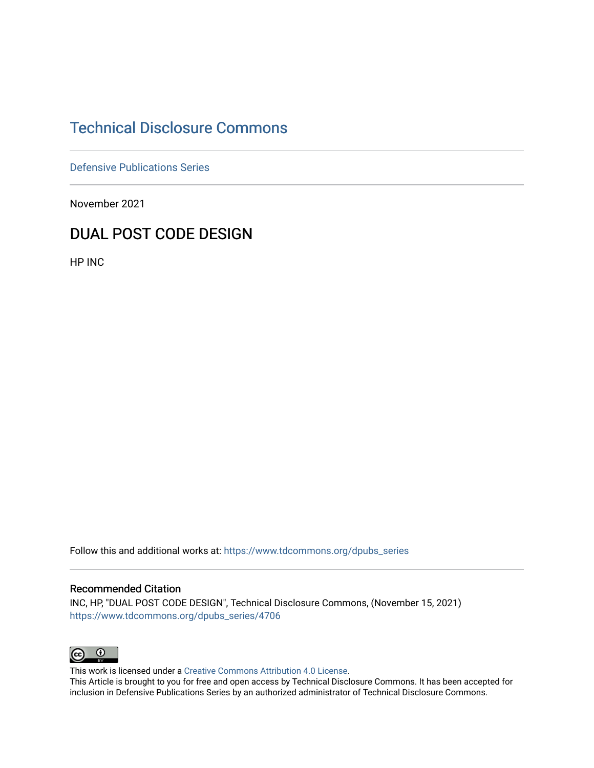# [Technical Disclosure Commons](https://www.tdcommons.org/)

[Defensive Publications Series](https://www.tdcommons.org/dpubs_series)

November 2021

# DUAL POST CODE DESIGN

HP INC

Follow this and additional works at: [https://www.tdcommons.org/dpubs\\_series](https://www.tdcommons.org/dpubs_series?utm_source=www.tdcommons.org%2Fdpubs_series%2F4706&utm_medium=PDF&utm_campaign=PDFCoverPages) 

#### Recommended Citation

INC, HP, "DUAL POST CODE DESIGN", Technical Disclosure Commons, (November 15, 2021) [https://www.tdcommons.org/dpubs\\_series/4706](https://www.tdcommons.org/dpubs_series/4706?utm_source=www.tdcommons.org%2Fdpubs_series%2F4706&utm_medium=PDF&utm_campaign=PDFCoverPages)



This work is licensed under a [Creative Commons Attribution 4.0 License](http://creativecommons.org/licenses/by/4.0/deed.en_US).

This Article is brought to you for free and open access by Technical Disclosure Commons. It has been accepted for inclusion in Defensive Publications Series by an authorized administrator of Technical Disclosure Commons.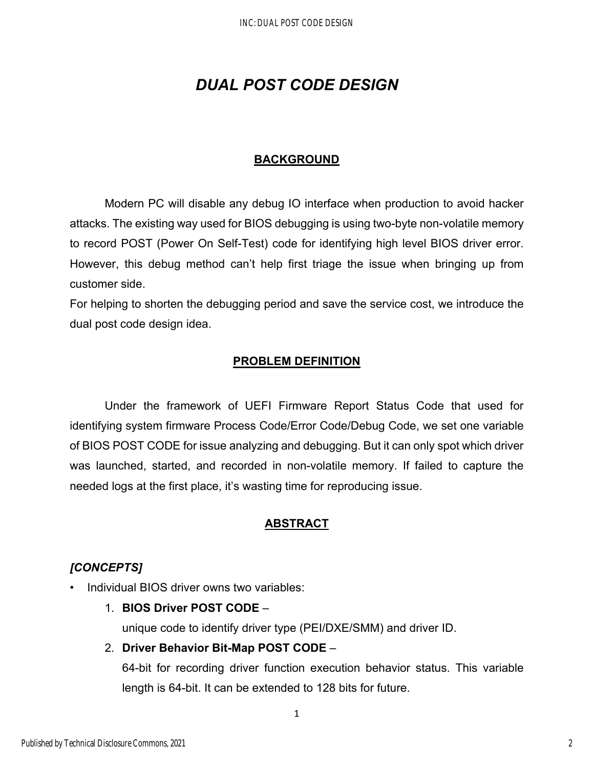# *DUAL POST CODE DESIGN*

## **BACKGROUND**

Modern PC will disable any debug IO interface when production to avoid hacker attacks. The existing way used for BIOS debugging is using two-byte non-volatile memory to record POST (Power On Self-Test) code for identifying high level BIOS driver error. However, this debug method can't help first triage the issue when bringing up from customer side.

For helping to shorten the debugging period and save the service cost, we introduce the dual post code design idea.

### **PROBLEM DEFINITION**

Under the framework of UEFI Firmware Report Status Code that used for identifying system firmware Process Code/Error Code/Debug Code, we set one variable of BIOS POST CODE for issue analyzing and debugging. But it can only spot which driver was launched, started, and recorded in non-volatile memory. If failed to capture the needed logs at the first place, it's wasting time for reproducing issue.

### **ABSTRACT**

### *[CONCEPTS]*

- Individual BIOS driver owns two variables:
	- 1. **BIOS Driver POST CODE** –

unique code to identify driver type (PEI/DXE/SMM) and driver ID.

### 2. **Driver Behavior Bit-Map POST CODE** –

64-bit for recording driver function execution behavior status. This variable length is 64-bit. It can be extended to 128 bits for future.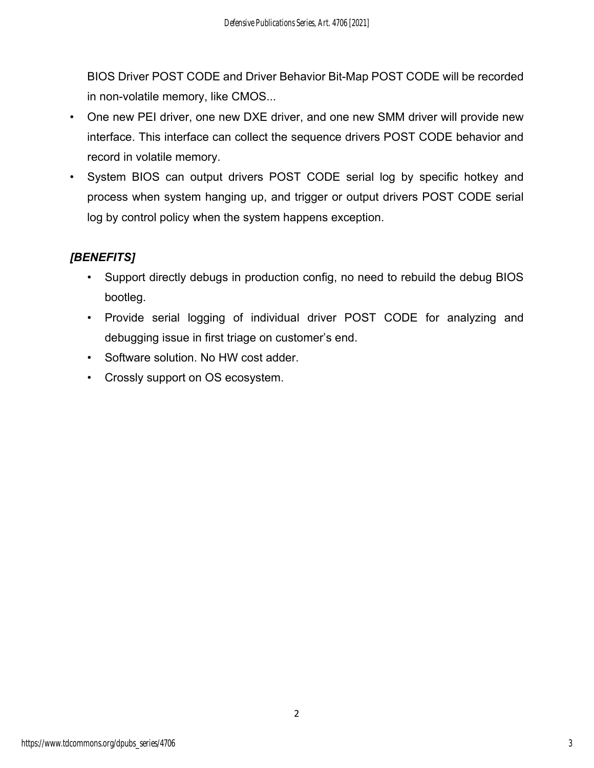BIOS Driver POST CODE and Driver Behavior Bit-Map POST CODE will be recorded in non-volatile memory, like CMOS...

- One new PEI driver, one new DXE driver, and one new SMM driver will provide new interface. This interface can collect the sequence drivers POST CODE behavior and record in volatile memory.
- System BIOS can output drivers POST CODE serial log by specific hotkey and process when system hanging up, and trigger or output drivers POST CODE serial log by control policy when the system happens exception.

# *[BENEFITS]*

- Support directly debugs in production config, no need to rebuild the debug BIOS bootleg.
- Provide serial logging of individual driver POST CODE for analyzing and debugging issue in first triage on customer's end.
- Software solution. No HW cost adder.
- Crossly support on OS ecosystem.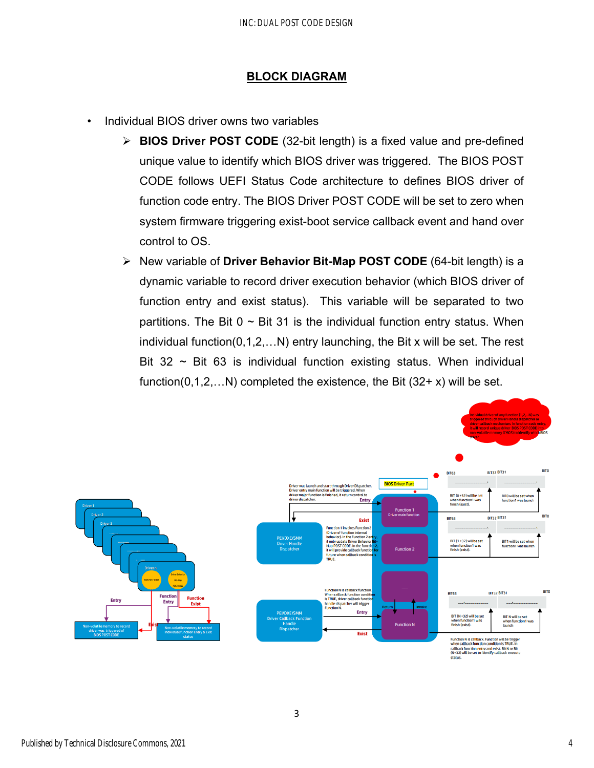#### **BLOCK DIAGRAM**

- Individual BIOS driver owns two variables
	- **BIOS Driver POST CODE** (32-bit length) is a fixed value and pre-defined unique value to identify which BIOS driver was triggered. The BIOS POST CODE follows UEFI Status Code architecture to defines BIOS driver of function code entry. The BIOS Driver POST CODE will be set to zero when system firmware triggering exist-boot service callback event and hand over control to OS.
	- New variable of **Driver Behavior Bit-Map POST CODE** (64-bit length) is a dynamic variable to record driver execution behavior (which BIOS driver of function entry and exist status). This variable will be separated to two partitions. The Bit  $0 \sim$  Bit 31 is the individual function entry status. When individual function(0,1,2,…N) entry launching, the Bit x will be set. The rest Bit  $32 \sim$  Bit 63 is individual function existing status. When individual function( $0,1,2,...N$ ) completed the existence, the Bit ( $32+x$ ) will be set.



3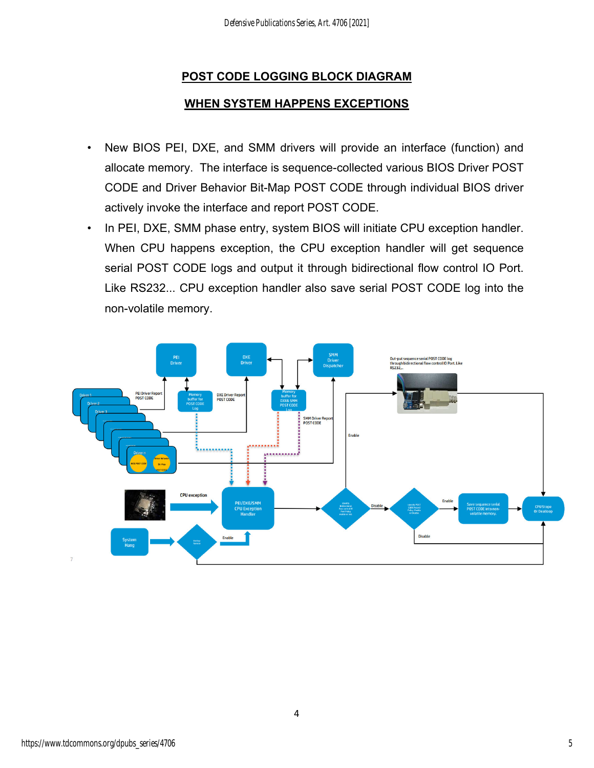## **POST CODE LOGGING BLOCK DIAGRAM**

## **WHEN SYSTEM HAPPENS EXCEPTIONS**

- New BIOS PEI, DXE, and SMM drivers will provide an interface (function) and allocate memory. The interface is sequence-collected various BIOS Driver POST CODE and Driver Behavior Bit-Map POST CODE through individual BIOS driver actively invoke the interface and report POST CODE.
- In PEI, DXE, SMM phase entry, system BIOS will initiate CPU exception handler. When CPU happens exception, the CPU exception handler will get sequence serial POST CODE logs and output it through bidirectional flow control IO Port. Like RS232... CPU exception handler also save serial POST CODE log into the non-volatile memory.



4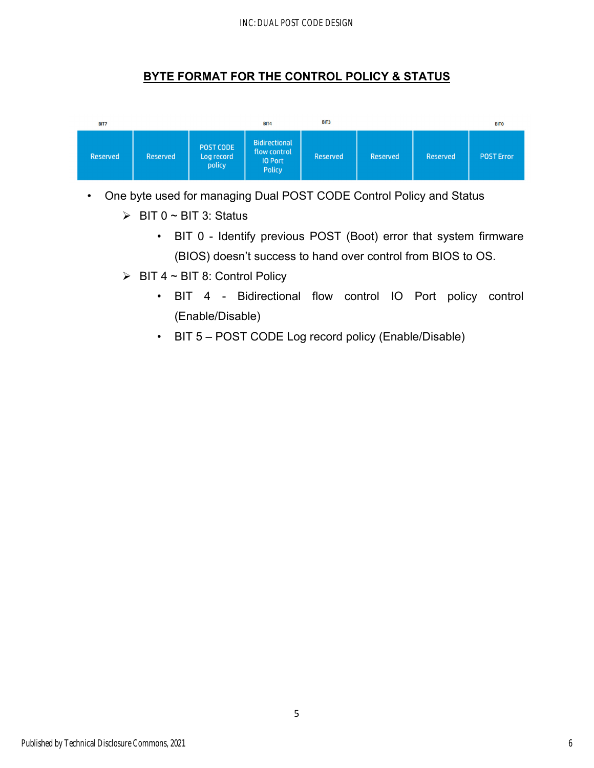#### INC: DUAL POST CODE DESIGN

## **BYTE FORMAT FOR THE CONTROL POLICY & STATUS**



• One byte used for managing Dual POST CODE Control Policy and Status

- $\triangleright$  BIT 0 ~ BIT 3: Status
	- BIT 0 Identify previous POST (Boot) error that system firmware (BIOS) doesn't success to hand over control from BIOS to OS.
- $\triangleright$  BIT 4 ~ BIT 8: Control Policy
	- BIT 4 Bidirectional flow control IO Port policy control (Enable/Disable)
	- BIT 5 POST CODE Log record policy (Enable/Disable)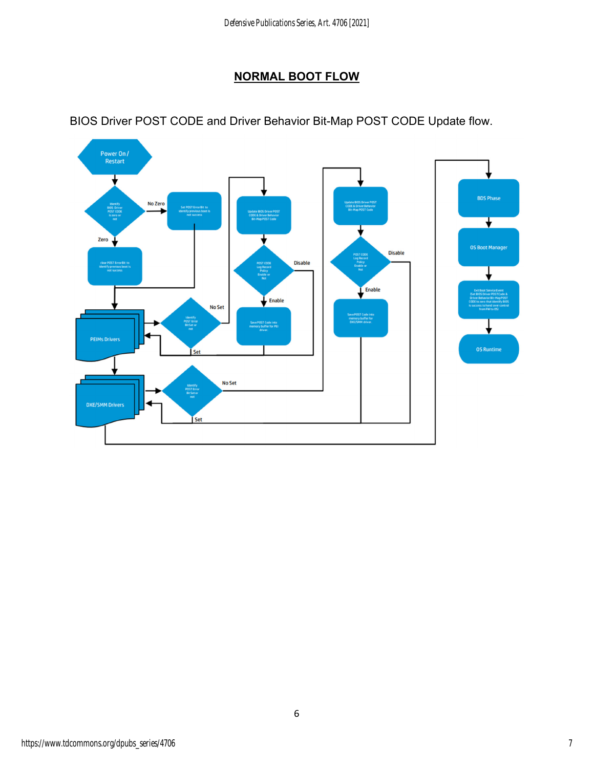# **NORMAL BOOT FLOW**



BIOS Driver POST CODE and Driver Behavior Bit-Map POST CODE Update flow.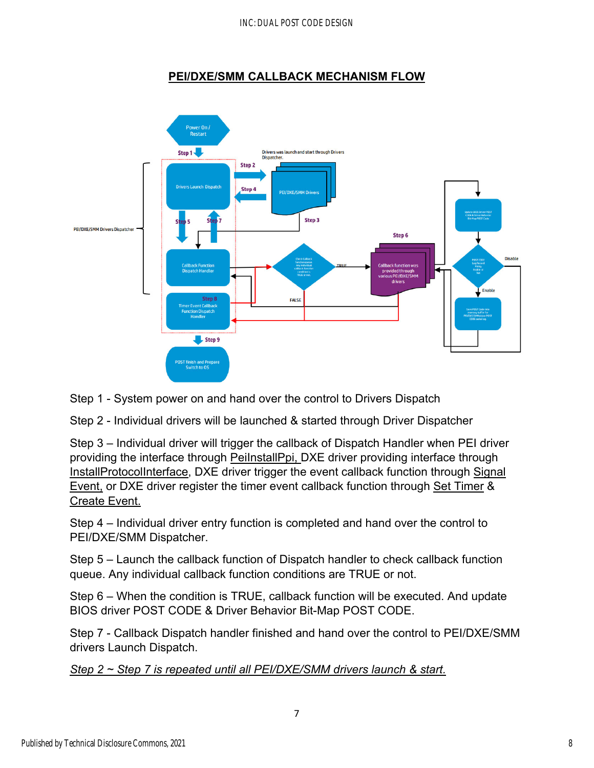#### INC: DUAL POST CODE DESIGN

## **PEI/DXE/SMM CALLBACK MECHANISM FLOW**



Step 1 - System power on and hand over the control to Drivers Dispatch

Step 2 - Individual drivers will be launched & started through Driver Dispatcher

Step 3 – Individual driver will trigger the callback of Dispatch Handler when PEI driver providing the interface through PeiInstallPpi, DXE driver providing interface through InstallProtocolInterface, DXE driver trigger the event callback function through Signal Event, or DXE driver register the timer event callback function through Set Timer & Create Event.

Step 4 – Individual driver entry function is completed and hand over the control to PEI/DXE/SMM Dispatcher.

Step 5 – Launch the callback function of Dispatch handler to check callback function queue. Any individual callback function conditions are TRUE or not.

Step 6 – When the condition is TRUE, callback function will be executed. And update BIOS driver POST CODE & Driver Behavior Bit-Map POST CODE.

Step 7 - Callback Dispatch handler finished and hand over the control to PEI/DXE/SMM drivers Launch Dispatch.

7

*Step 2 ~ Step 7 is repeated until all PEI/DXE/SMM drivers launch & start.*